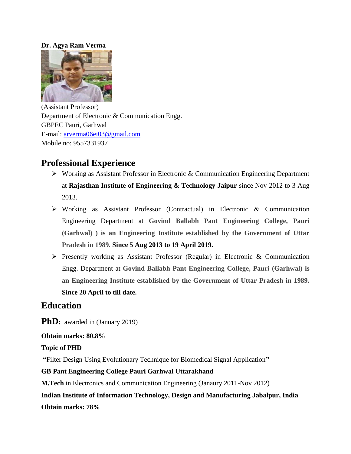#### **Dr. Agya Ram Verma**



(Assistant Professor) Department of Electronic & Communication Engg. GBPEC Pauri, Garhwal E-mail: [arverma06ei03@gmail.com](mailto:arverma06ei03@gmail.com) Mobile no: 9557331937

# **Professional Experience**

 Working as Assistant Professor in Electronic & Communication Engineering Department at **Rajasthan Institute of Engineering & Technology Jaipur** since Nov 2012 to 3 Aug 2013.

\_\_\_\_\_\_\_\_\_\_\_\_\_\_\_\_\_\_\_\_\_\_\_\_\_\_\_\_\_\_\_\_\_\_\_\_\_\_\_\_\_\_\_\_\_\_\_\_\_\_\_\_\_\_\_\_\_\_\_\_\_\_\_\_\_\_\_\_\_\_\_\_\_\_\_\_\_\_

- Working as Assistant Professor (Contractual) in Electronic & Communication Engineering Department at **Govind Ballabh Pant Engineering College, Pauri (Garhwal) ) is an Engineering Institute established by the Government of Uttar Pradesh in 1989. Since 5 Aug 2013 to 19 April 2019.**
- $\triangleright$  Presently working as Assistant Professor (Regular) in Electronic & Communication Engg. Department at **Govind Ballabh Pant Engineering College, Pauri (Garhwal) is an Engineering Institute established by the Government of Uttar Pradesh in 1989. Since 20 April to till date.**

## **Education**

**PhD**: awarded in (January 2019)

## **Obtain marks: 80.8%**

**Topic of PHD**

**"**Filter Design Using Evolutionary Technique for Biomedical Signal Application**"** 

## **GB Pant Engineering College Pauri Garhwal Uttarakhand**

**M.Tech** in Electronics and Communication Engineering (Janaury 2011-Nov 2012)

**Indian Institute of Information Technology, Design and Manufacturing Jabalpur, India Obtain marks: 78%**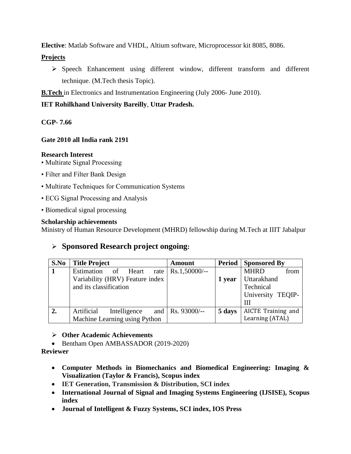**Elective**: Matlab Software and VHDL, Altium software, Microprocessor kit 8085, 8086.

#### **Projects**

 Speech Enhancement using different window, different transform and different technique. (M.Tech thesis Topic).

**B.Tech** in Electronics and Instrumentation Engineering (July 2006- June 2010).

## **IET Rohilkhand University Bareilly**, **Uttar Pradesh.**

**CGP- 7.66**

## **Gate 2010 all India rank 2191**

#### **Research Interest**

- Multirate Signal Processing
- Filter and Filter Bank Design
- Multirate Techniques for Communication Systems
- ECG Signal Processing and Analysis
- Biomedical signal processing

## **Scholarship achievements**

Ministry of Human Resource Development (MHRD) fellowship during M.Tech at IIIT Jabalpur

## **Sponsored Research project ongoing:**

| S.No | <b>Title Project</b>            | <b>Amount</b>        |        | <b>Period</b> Sponsored By |
|------|---------------------------------|----------------------|--------|----------------------------|
|      | Estimation of Heart             | rate   Rs.1,50000/-- |        | from<br><b>MHRD</b>        |
|      | Variability (HRV) Feature index |                      | 1 year | <b>Uttarakhand</b>         |
|      | and its classification          |                      |        | Technical                  |
|      |                                 |                      |        | University TEQIP-          |
|      |                                 |                      |        | Ш                          |
| 2.   | Artificial<br>Intelligence      | and   Rs. 93000/--   | 5 days | AICTE Training and         |
|      | Machine Learning using Python   |                      |        | Learning (ATAL)            |

## **Other Academic Achievements**

• Bentham Open AMBASSADOR (2019-2020)

**Reviewer** 

- **Computer Methods in Biomechanics and Biomedical Engineering: Imaging & Visualization (Taylor & Francis), Scopus index**
- **IET Generation, Transmission & Distribution, SCI index**
- **[International Journal of Signal and Imaging Systems Engineering](http://www.inderscience.com/jhome.php?jcode=ijsise) (IJSISE), Scopus index**
- **Journal of Intelligent & Fuzzy Systems, SCI index, IOS Press**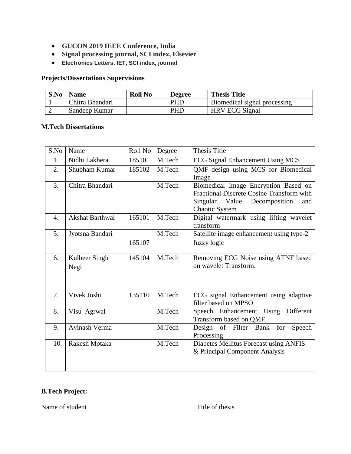- **GUCON 2019 IEEE Conference, India**
- **Signal processing journal, SCI index, Elsevier**
- **Electronics Letters, IET, SCI index, journal**

## **Projects/Dissertations Supervisions**

| S.No | <b>Name</b>     | <b>Roll No</b> | <b>Degree</b> | <b>Thesis Title</b>          |
|------|-----------------|----------------|---------------|------------------------------|
|      | Chitra Bhandari |                | <b>PHD</b>    | Biomedical signal processing |
|      | Sandeep Kumar   |                | <b>PHD</b>    | <b>HRV ECG Signal</b>        |

#### **M.Tech Dissertations**

| S.No | Name                   | Roll No | Degree | <b>Thesis Title</b>                                           |
|------|------------------------|---------|--------|---------------------------------------------------------------|
| 1.   | Nidhi Lakhera          | 185101  | M.Tech | <b>ECG Signal Enhancement Using MCS</b>                       |
| 2.   | Shubham Kumar          | 185102  | M.Tech | QMF design using MCS for Biomedical                           |
|      |                        |         |        | Image                                                         |
| 3.   | Chitra Bhandari        |         | M.Tech | Biomedical Image Encryption Based on                          |
|      |                        |         |        | Fractional Discrete Cosine Transform with                     |
|      |                        |         |        | Value<br>Singular<br>Decomposition<br>and                     |
|      |                        |         |        | Chaotic System                                                |
| 4.   | <b>Akshat Barthwal</b> | 165101  | M.Tech | Digital watermark using lifting wavelet                       |
|      |                        |         |        | transform                                                     |
| 5.   | Jyotsna Bandari        |         | M.Tech | Satellite image enhancement using type-2                      |
|      |                        | 165107  |        | fuzzy logic                                                   |
|      |                        |         |        |                                                               |
| 6.   | Kulbeer Singh          | 145104  | M.Tech | Removing ECG Noise using ATNF based                           |
|      | Negi                   |         |        | on wavelet Transform.                                         |
|      |                        |         |        |                                                               |
|      |                        |         |        |                                                               |
|      |                        |         |        |                                                               |
| 7.   | Vivek Joshi            | 135110  | M.Tech | ECG signal Enhancement using adaptive<br>filter based on MPSO |
|      |                        |         |        |                                                               |
| 8.   | Visu Agrwal            |         | M.Tech | Speech Enhancement Using<br>Different                         |
|      |                        |         |        | Transform based on QMF                                        |
| 9.   | Avinash Verma          |         | M.Tech | of Filter Bank<br>Design<br>for<br>Speech                     |
|      |                        |         |        | Processing                                                    |
| 10.  | Rakesh Motaka          |         | M.Tech | Diabetes Mellitus Forecast using ANFIS                        |
|      |                        |         |        | & Principal Component Analysis                                |
|      |                        |         |        |                                                               |
|      |                        |         |        |                                                               |

## **B.Tech Project:**

Name of student Title of thesis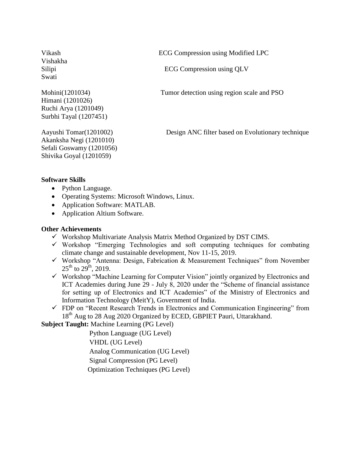Vishakha Swati

Himani (1201026) Ruchi Arya (1201049) Surbhi Tayal (1207451)

Akanksha Negi (1201010) Sefali Goswamy (1201056) Shivika Goyal (1201059)

Vikash ECG Compression using Modified LPC

Silipi ECG Compression using QLV

Mohini(1201034) Tumor detection using region scale and PSO

Aayushi Tomar(1201002) Design ANC filter based on Evolutionary technique

#### **Software Skills**

- Python Language.
- Operating Systems: Microsoft Windows, Linux.
- Application Software: MATLAB.
- Application Altium Software.

#### **Other Achievements**

- $\checkmark$  Workshop Multivariate Analysis Matrix Method Organized by DST CIMS.
- $\checkmark$  Workshop "Emerging Technologies and soft computing techniques for combating climate change and sustainable development, Nov 11-15, 2019.
- $\checkmark$  Workshop "Antenna: Design, Fabrication & Measurement Techniques" from November  $25^{th}$  to  $29^{th}$ ,  $2019$ .
- $\checkmark$  Workshop "Machine Learning for Computer Vision" jointly organized by Electronics and ICT Academies during June 29 - July 8, 2020 under the "Scheme of financial assistance for setting up of Electronics and ICT Academies" of the Ministry of Electronics and Information Technology (MeitY), Government of India.
- $\checkmark$  FDP on "Recent Research Trends in Electronics and Communication Engineering" from 18<sup>th</sup> Aug to 28 Aug 2020 Organized by ECED, GBPIET Pauri, Uttarakhand.

**Subject Taught:** Machine Learning (PG Level)

 Python Language (UG Level) VHDL (UG Level) Analog Communication (UG Level) Signal Compression (PG Level) Optimization Techniques (PG Level)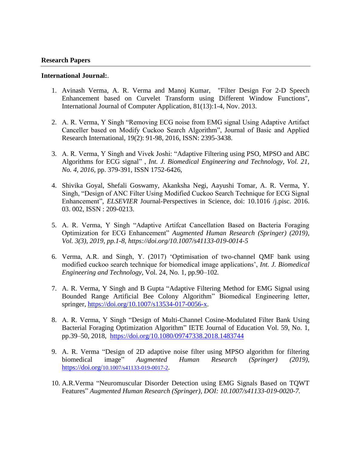#### **International Journal:**.

- 1. Avinash Verma, A. R. Verma and Manoj Kumar, "Filter Design For 2-D Speech Enhancement based on Curvelet Transform using Different Window Functions", International Journal of Computer Application, 81(13):1-4, Nov. 2013.
- 2. A. R. Verma, Y Singh "Removing ECG noise from EMG signal Using Adaptive Artifact Canceller based on Modify Cuckoo Search Algorithm", Journal of Basic and Applied Research International, 19(2): 91-98, 2016, ISSN: 2395-3438.
- 3. A. R. Verma, Y Singh and Vivek Joshi: "Adaptive Filtering using PSO, MPSO and ABC Algorithms for ECG signal" , *Int. J. Biomedical Engineering and Technology, Vol. 21, No. 4, 2016*, pp. 379-391, ISSN 1752-6426,
- 4. Shivika Goyal, Shefali Goswamy, Akanksha Negi, Aayushi Tomar, A. R. Verma, Y. Singh, "Design of ANC Filter Using Modified Cuckoo Search Technique for ECG Signal Enhancement", *ELSEVIER* Journal-Perspectives in Science, [doi: 10.1016 /j.pisc. 2016.](http://dx.doi.org/10.1016/j.pisc.2016.03.002)  [03. 002,](http://dx.doi.org/10.1016/j.pisc.2016.03.002) ISSN : 209-0213.
- 5. A. R. Verma, Y Singh "Adaptive Artifcat Cancellation Based on Bacteria Foraging Optimization for ECG Enhancement" *Augmented Human Research (Springer) (2019), Vol. 3(3), 2019, pp.1-8, https://doi.org/10.1007/s41133-019-0014-5*
- 6. Verma, A.R. and Singh, Y. (2017) "Optimisation of two-channel QMF bank using modified cuckoo search technique for biomedical image applications", *Int. J. Biomedical Engineering and Technology*, Vol. 24, No. 1, pp.90–102*.*
- 7. A. R. Verma, Y Singh and B Gupta "Adaptive Filtering Method for EMG Signal using Bounded Range Artificial Bee Colony Algorithm" Biomedical Engineering letter, springer, [https://doi.org/10.1007/s13534-017-0056-x.](https://doi.org/10.1007/s13534-017-0056-x)
- 8. A. R. Verma, Y Singh "Design of Multi-Channel Cosine-Modulated Filter Bank Using Bacterial Foraging Optimization Algorithm" IETE Journal of Education Vol. 59, No. 1, pp.39–50, 2018, <https://doi.org/10.1080/09747338.2018.1483744>
- 9. A. R. Verma "Design of 2D adaptive noise filter using MPSO algorithm for filtering biomedical image" *Augmented Human Research (Springer) (2019),*  https://doi.org/[10.1007/s41133-019-0017-2](https://doi.org/10.1007/s41133-019-0017-2).
- 10. A.R.Verma "Neuromuscular Disorder Detection using EMG Signals Based on TQWT Features" *Augmented Human Research (Springer), DOI: 10.1007/s41133-019-0020-7.*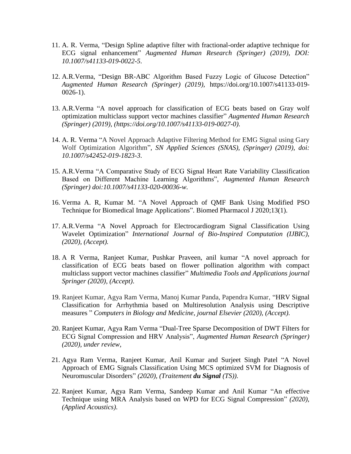- 11. A. R. Verma, "Design Spline adaptive filter with fractional-order adaptive technique for ECG signal enhancement" *Augmented Human Research (Springer) (2019), DOI: 10.1007/s41133-019-0022-5*.
- 12. A.R.Verma, "Design BR-ABC Algorithm Based Fuzzy Logic of Glucose Detection" *Augmented Human Research (Springer) (2019),* https://doi.org/10.1007/s41133-019- 0026-1).
- 13. A.R.Verma "A novel approach for classification of ECG beats based on Gray wolf optimization multiclass support vector machines classifier" *Augmented Human Research (Springer) (2019), (https://doi.org/10.1007/s41133-019-0027-0)*.
- 14. A. R. Verma "A Novel Approach Adaptive Filtering Method for EMG Signal using Gary Wolf Optimization Algorithm", *SN Applied Sciences (SNAS), (Springer) (2019), doi: 10.1007/s42452-019-1823-3*.
- 15. A.R.Verma "A Comparative Study of ECG Signal Heart Rate Variability Classification Based on Different Machine Learning Algorithms", *Augmented Human Research (Springer) doi:10.1007/s41133-020-00036-w.*
- 16. Verma A. R, Kumar M. "A Novel Approach of QMF Bank Using Modified PSO Technique for Biomedical Image Applications". Biomed Pharmacol J 2020;13(1).
- 17. A.R.Verma "A Novel Approach for Electrocardiogram Signal Classification Using Wavelet Optimization" *International Journal of Bio-Inspired Computation (IJBIC), (2020), (Accept).*
- 18. A R Verma, Ranjeet Kumar, Pushkar Praveen, anil kumar "A novel approach for classification of ECG beats based on flower pollination algorithm with compact multiclass support vector machines classifier" *Multimedia Tools and Applications journal Springer (2020), (Accept)*.
- 19. Ranjeet Kumar, Agya Ram Verma, Manoj Kumar Panda, Papendra Kumar, "HRV Signal Classification for Arrhythmia based on Multiresolution Analysis using Descriptive measures " *Computers in Biology and Medicine, journal Elsevier (2020), (Accept)*.
- 20. Ranjeet Kumar, Agya Ram Verma "Dual-Tree Sparse Decomposition of DWT Filters for ECG Signal Compression and HRV Analysis", *Augmented Human Research (Springer) (2020), under review,*
- 21. Agya Ram Verma, Ranjeet Kumar, Anil Kumar and Surjeet Singh Patel "A Novel Approach of EMG Signals Classification Using MCS optimized SVM for Diagnosis of Neuromuscular Disorders" *(2020), (Traitement du Signal (TS))*.
- 22. Ranjeet Kumar, Agya Ram Verma, Sandeep Kumar and Anil Kumar "An effective Technique using MRA Analysis based on WPD for ECG Signal Compression" *(2020), (Applied Acoustics)*.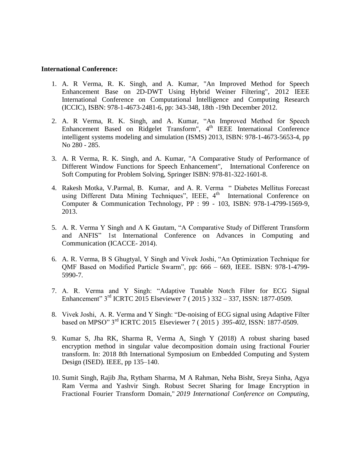#### **International Conference:**

- 1. A. R Verma, R. K. Singh, and A. Kumar, "An Improved Method for Speech Enhancement Base on 2D-DWT Using Hybrid Weiner Filtering", 2012 IEEE International Conference on Computational Intelligence and Computing Research (ICCIC), ISBN: 978-1-4673-2481-6, pp: 343-348, 18th -19th December 2012.
- 2. A. R Verma, R. K. Singh, and A. Kumar, "An Improved Method for Speech Enhancement Based on Ridgelet Transform", 4<sup>th</sup> IEEE International Conference intelligent systems modeling and simulation (ISMS) 2013, ISBN: 978-1-4673-5653-4, pp No 280 - 285.
- 3. A. R Verma, R. K. Singh, and A. Kumar, "A Comparative Study of Performance of Different Window Functions for Speech Enhancement", International Conference on Soft Computing for Problem Solving, Springer ISBN: 978-81-322-1601-8.
- 4. Rakesh Motka, V.Parmal, B. Kumar, and A. R. Verma " Diabetes Mellitus Forecast using Different Data Mining Techniques", IEEE, 4<sup>th</sup> International Conference on Computer & Communication Technology, PP : 99 - 103, ISBN: 978-1-4799-1569-9, 2013.
- 5. A. R. Verma Y Singh and A K Gautam, "A Comparative Study of Different Transform and ANFIS" 1st International Conference on Advances in Computing and Communication (ICACCE- 2014).
- 6. A. R. Verma, B S Ghugtyal, Y Singh and Vivek Joshi, "An Optimization Technique for QMF Based on Modified Particle Swarm", pp: 666 – 669, IEEE. ISBN: 978-1-4799- 5990-7.
- 7. A. R. Verma and Y Singh: "Adaptive Tunable Notch Filter for ECG Signal Enhancement" 3<sup>rd</sup> ICRTC 2015 Elseviewer 7 (2015) 332 – 337, ISSN: 1877-0509.
- 8. Vivek Joshi, A. R. Verma and Y Singh: "De-noising of ECG signal using Adaptive Filter based on MPSO" 3rd ICRTC 2015 Elseviewer 7 ( 2015 ) *395-402,* ISSN: 1877-0509.
- 9. Kumar S, Jha RK, Sharma R, Verma A, Singh Y (2018) A robust sharing based encryption method in singular value decomposition domain using fractional Fourier transform. In: 2018 8th International Symposium on Embedded Computing and System Design (ISED). IEEE, pp 135–140.
- 10. Sumit Singh, Rajib Jha, Rytham Sharma, M A Rahman, Neha Bisht, Sreya Sinha, Agya Ram Verma and Yashvir Singh. Robust Secret Sharing for Image Encryption in Fractional Fourier Transform Domain," *2019 International Conference on Computing,*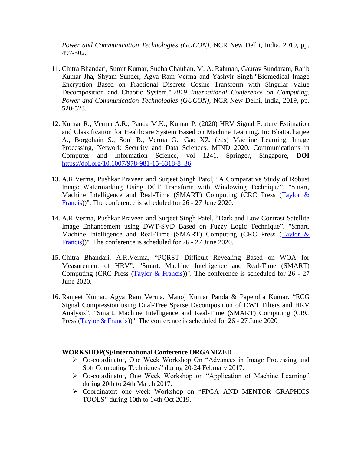*Power and Communication Technologies (GUCON)*, NCR New Delhi, India, 2019, pp. 497-502.

- 11. Chitra Bhandari, Sumit Kumar, Sudha Chauhan, M. A. Rahman, Gaurav Sundaram, Rajib Kumar Jha, Shyam Sunder, Agya Ram Verma and Yashvir Singh "Biomedical Image Encryption Based on Fractional Discrete Cosine Transform with Singular Value Decomposition and Chaotic System," *2019 International Conference on Computing, Power and Communication Technologies (GUCON)*, NCR New Delhi, India, 2019, pp. 520-523.
- 12. Kumar R., Verma A.R., Panda M.K., Kumar P. (2020) HRV Signal Feature Estimation and Classification for Healthcare System Based on Machine Learning. In: Bhattacharjee A., Borgohain S., Soni B., Verma G., Gao XZ. (eds) Machine Learning, Image Processing, Network Security and Data Sciences. MIND 2020. Communications in Computer and Information Science, vol 1241. Springer, Singapore, **DOI**  [https://doi.org/10.1007/978-981-15-6318-8\\_36.](https://doi.org/10.1007/978-981-15-6318-8_36)
- 13. A.R.Verma, Pushkar Praveen and Surjeet Singh Patel, "A Comparative Study of Robust Image Watermarking Using DCT Transform with Windowing Technique". "Smart, Machine Intelligence and Real-Time (SMART) Computing (CRC Press (Taylor & [Francis\)](https://www.bing.com/search?q=Taylor+%26+Francis&filters=ufn%3a%22Taylor++Francis%22+sid%3a%2250159906-763b-d5a0-6dae-4aa4f8f315dd%22+gsexp%3a%2212728568-216d-215e-73de-a18c55f7558a_bXNvOm9yZ2FuaXphdGlvbi5vcmdhbml6YXRpb24ucGFyZW50%22&FORM=SNAPST))". The conference is scheduled for 26 - 27 June 2020.
- 14. A.R.Verma, Pushkar Praveen and Surjeet Singh Patel, "Dark and Low Contrast Satellite Image Enhancement using DWT-SVD Based on Fuzzy Logic Technique". "Smart, Machine Intelligence and Real-Time (SMART) Computing (CRC Press (Taylor & [Francis\)](https://www.bing.com/search?q=Taylor+%26+Francis&filters=ufn%3a%22Taylor++Francis%22+sid%3a%2250159906-763b-d5a0-6dae-4aa4f8f315dd%22+gsexp%3a%2212728568-216d-215e-73de-a18c55f7558a_bXNvOm9yZ2FuaXphdGlvbi5vcmdhbml6YXRpb24ucGFyZW50%22&FORM=SNAPST))". The conference is scheduled for 26 - 27 June 2020.
- 15. Chitra Bhandari, A.R.Verma, "PQRST Difficult Revealing Based on WOA for Measurement of HRV". "Smart, Machine Intelligence and Real-Time (SMART) Computing (CRC Press [\(Taylor & Francis\)](https://www.bing.com/search?q=Taylor+%26+Francis&filters=ufn%3a%22Taylor++Francis%22+sid%3a%2250159906-763b-d5a0-6dae-4aa4f8f315dd%22+gsexp%3a%2212728568-216d-215e-73de-a18c55f7558a_bXNvOm9yZ2FuaXphdGlvbi5vcmdhbml6YXRpb24ucGFyZW50%22&FORM=SNAPST))". The conference is scheduled for  $26 - 27$ June 2020.
- 16. Ranjeet Kumar, Agya Ram Verma, Manoj Kumar Panda & Papendra Kumar, "ECG Signal Compression using Dual-Tree Sparse Decomposition of DWT Filters and HRV Analysis". "Smart, Machine Intelligence and Real-Time (SMART) Computing (CRC Press [\(Taylor & Francis\)](https://www.bing.com/search?q=Taylor+%26+Francis&filters=ufn%3a%22Taylor++Francis%22+sid%3a%2250159906-763b-d5a0-6dae-4aa4f8f315dd%22+gsexp%3a%2212728568-216d-215e-73de-a18c55f7558a_bXNvOm9yZ2FuaXphdGlvbi5vcmdhbml6YXRpb24ucGFyZW50%22&FORM=SNAPST))". The conference is scheduled for 26 - 27 June 2020

#### **WORKSHOP(S)/International Conference ORGANIZED**

- Co-coordinator, One Week Workshop On "Advances in Image Processing and Soft Computing Techniques" during 20-24 February 2017.
- Co-coordinator, One Week Workshop on "Application of Machine Learning" during 20th to 24th March 2017.
- Coordinator: one week Workshop on "FPGA AND MENTOR GRAPHICS TOOLS" during 10th to 14th Oct 2019.